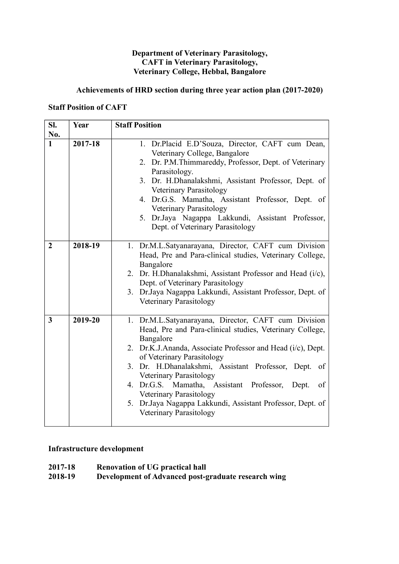#### **Department of Veterinary Parasitology, CAFT in Veterinary Parasitology, Veterinary College, Hebbal, Bangalore**

### **Achievements of HRD section during three year action plan (2017-2020)**

### **Staff Position of CAFT**

| SI.<br>No.       | Year    | <b>Staff Position</b>                                                                                                                                                                                                                                                                                                                                                                                                                                                                      |
|------------------|---------|--------------------------------------------------------------------------------------------------------------------------------------------------------------------------------------------------------------------------------------------------------------------------------------------------------------------------------------------------------------------------------------------------------------------------------------------------------------------------------------------|
| $\mathbf{1}$     | 2017-18 | 1. Dr.Placid E.D'Souza, Director, CAFT cum Dean,<br>Veterinary College, Bangalore<br>2. Dr. P.M. Thimmareddy, Professor, Dept. of Veterinary<br>Parasitology.<br>3. Dr. H.Dhanalakshmi, Assistant Professor, Dept. of<br>Veterinary Parasitology<br>4. Dr.G.S. Mamatha, Assistant Professor, Dept. of<br>Veterinary Parasitology<br>5. Dr.Jaya Nagappa Lakkundi, Assistant Professor,<br>Dept. of Veterinary Parasitology                                                                  |
| $\boldsymbol{2}$ | 2018-19 | 1. Dr.M.L.Satyanarayana, Director, CAFT cum Division<br>Head, Pre and Para-clinical studies, Veterinary College,<br>Bangalore<br>2. Dr. H.Dhanalakshmi, Assistant Professor and Head (i/c),<br>Dept. of Veterinary Parasitology<br>3. Dr.Jaya Nagappa Lakkundi, Assistant Professor, Dept. of<br>Veterinary Parasitology                                                                                                                                                                   |
| 3                | 2019-20 | 1. Dr.M.L.Satyanarayana, Director, CAFT cum Division<br>Head, Pre and Para-clinical studies, Veterinary College,<br>Bangalore<br>2. Dr.K.J.Ananda, Associate Professor and Head (i/c), Dept.<br>of Veterinary Parasitology<br>3. Dr. H.Dhanalakshmi, Assistant Professor, Dept. of<br>Veterinary Parasitology<br>4. Dr.G.S. Mamatha, Assistant Professor, Dept.<br>of<br>Veterinary Parasitology<br>5. Dr. Jaya Nagappa Lakkundi, Assistant Professor, Dept. of<br>Veterinary Parasitology |

### **Infrastructure development**

| 2017-18 | <b>Renovation of UG practical hall</b>              |
|---------|-----------------------------------------------------|
| 2018-19 | Development of Advanced post-graduate research wing |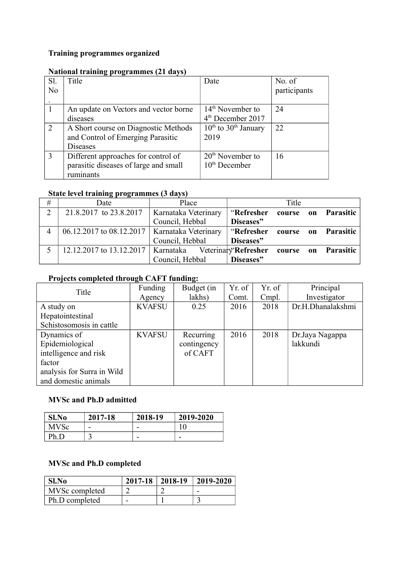# **Training programmes organized**

| National training programmes (21 days) |  |
|----------------------------------------|--|
|                                        |  |

|                | $\pm$ attornal training programmes (21 days) |                          |              |
|----------------|----------------------------------------------|--------------------------|--------------|
| Sl.            | Title                                        | Date                     | No. of       |
| N <sub>0</sub> |                                              |                          | participants |
|                |                                              |                          |              |
|                | An update on Vectors and vector borne        | $14th$ November to       | 24           |
|                | diseases                                     | $4th$ December 2017      |              |
| $\mathcal{L}$  | A Short course on Diagnostic Methods         | $10th$ to $30th$ January | 22           |
|                | and Control of Emerging Parasitic            | 2019                     |              |
|                | <b>Diseases</b>                              |                          |              |
| $\mathcal{R}$  | Different approaches for control of          | $20th$ November to       | 16           |
|                | parasitic diseases of large and small        | $10th$ December          |              |
|                | ruminants                                    |                          |              |

### **State level training programmes (3 days)**

| #        | Date                                                                          | Place                |                                | Title |  |                     |
|----------|-------------------------------------------------------------------------------|----------------------|--------------------------------|-------|--|---------------------|
| $\gamma$ | 21.8.2017 to 23.8.2017                                                        | Karnataka Veterinary | "Refresher                     |       |  | course on Parasitic |
|          |                                                                               | Council, Hebbal      | Diseases"                      |       |  |                     |
|          | 06.12.2017 to 08.12.2017   Karnataka Veterinary                               |                      | "Refresher course on Parasitic |       |  |                     |
|          |                                                                               | Council, Hebbal      | Diseases"                      |       |  |                     |
|          | 12.12.2017 to 13.12.2017   Karnataka Veterinary Refresher course on Parasitic |                      |                                |       |  |                     |
|          |                                                                               | Council, Hebbal      | Diseases"                      |       |  |                     |

# **Projects completed through CAFT funding:**

| Title                      | Funding       | Budget (in  | Yr. of | Yr. of | Principal         |
|----------------------------|---------------|-------------|--------|--------|-------------------|
|                            | Agency        | lakhs)      | Comt.  | Cmpl.  | Investigator      |
| A study on                 | <b>KVAFSU</b> | 0.25        | 2016   | 2018   | Dr.H.Dhanalakshmi |
| Hepatointestinal           |               |             |        |        |                   |
| Schistosomosis in cattle   |               |             |        |        |                   |
| Dynamics of                | <b>KVAFSU</b> | Recurring   | 2016   | 2018   | Dr.Jaya Nagappa   |
| Epidemiological            |               | contingency |        |        | lakkundi          |
| intelligence and risk      |               | of CAFT     |        |        |                   |
| factor                     |               |             |        |        |                   |
| analysis for Surra in Wild |               |             |        |        |                   |
| and domestic animals       |               |             |        |        |                   |

### **MVSc and Ph.D admitted**

| Sl.No       | 2017-18 | 2018-19 | 2019-2020 |
|-------------|---------|---------|-----------|
| <b>MVSc</b> | -       | -       |           |
| Ph.D        |         | -       | -         |

# **MVSc and Ph.D completed**

| Sl.No          |  | $2017-18$   2018-19   2019-2020 |
|----------------|--|---------------------------------|
| MVSc completed |  |                                 |
| Ph.D completed |  |                                 |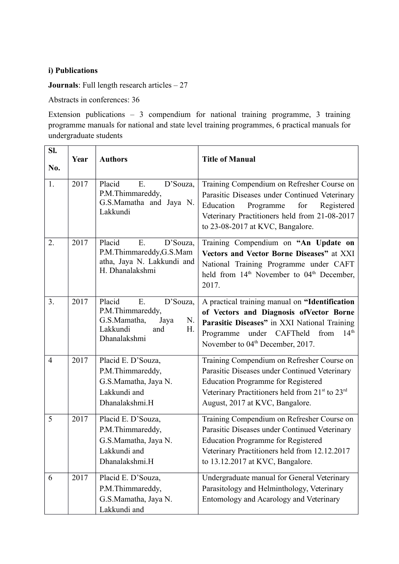### **i) Publications**

**Journals**: Full length research articles – 27

Abstracts in conferences: 36

Extension publications  $-3$  compendium for national training programme, 3 training programme manuals for national and state level training programmes, 6 practical manuals for undergraduate students

| SI.<br>No.     | Year | <b>Authors</b>                                                                                                      | <b>Title of Manual</b>                                                                                                                                                                                                                                 |
|----------------|------|---------------------------------------------------------------------------------------------------------------------|--------------------------------------------------------------------------------------------------------------------------------------------------------------------------------------------------------------------------------------------------------|
| 1.             | 2017 | Placid<br>$E_{\cdot}$<br>D'Souza,<br>P.M.Thimmareddy,<br>G.S.Mamatha and Jaya N.<br>Lakkundi                        | Training Compendium on Refresher Course on<br>Parasitic Diseases under Continued Veterinary<br>Programme<br>Education<br>for<br>Registered<br>Veterinary Practitioners held from 21-08-2017<br>to 23-08-2017 at KVC, Bangalore.                        |
| 2.             | 2017 | Placid<br>E.<br>D'Souza,<br>P.M.Thimmareddy,G.S.Mam<br>atha, Jaya N. Lakkundi and<br>H. Dhanalakshmi                | Training Compendium on "An Update on<br>Vectors and Vector Borne Diseases" at XXI<br>National Training Programme under CAFT<br>held from 14 <sup>th</sup> November to 04 <sup>th</sup> December,<br>2017.                                              |
| 3.             | 2017 | Placid<br>E.<br>D'Souza,<br>P.M.Thimmareddy,<br>G.S.Mamatha,<br>Jaya<br>N.<br>Lakkundi<br>H.<br>and<br>Dhanalakshmi | A practical training manual on "Identification<br>of Vectors and Diagnosis of Vector Borne<br>Parasitic Diseases" in XXI National Training<br>under CAFTheld<br>$14^{\text{th}}$<br>Programme<br>from<br>November to 04 <sup>th</sup> December, 2017.  |
| $\overline{4}$ | 2017 | Placid E. D'Souza,<br>P.M.Thimmareddy,<br>G.S.Mamatha, Jaya N.<br>Lakkundi and<br>Dhanalakshmi.H                    | Training Compendium on Refresher Course on<br>Parasitic Diseases under Continued Veterinary<br><b>Education Programme for Registered</b><br>Veterinary Practitioners held from 21 <sup>st</sup> to 23 <sup>rd</sup><br>August, 2017 at KVC, Bangalore. |
| 5              | 2017 | Placid E. D'Souza,<br>P.M.Thimmareddy,<br>G.S.Mamatha, Jaya N.<br>Lakkundi and<br>Dhanalakshmi.H                    | Training Compendium on Refresher Course on<br>Parasitic Diseases under Continued Veterinary<br><b>Education Programme for Registered</b><br>Veterinary Practitioners held from 12.12.2017<br>to 13.12.2017 at KVC, Bangalore.                          |
| 6              | 2017 | Placid E. D'Souza,<br>P.M.Thimmareddy,<br>G.S.Mamatha, Jaya N.<br>Lakkundi and                                      | Undergraduate manual for General Veterinary<br>Parasitology and Helminthology, Veterinary<br>Entomology and Acarology and Veterinary                                                                                                                   |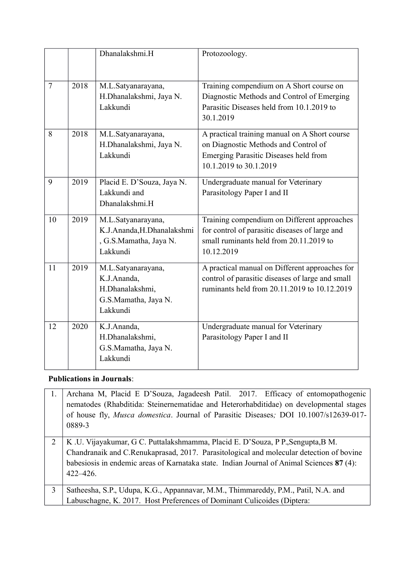|                |      | Dhanalakshmi.H                                                                           | Protozoology.                                                                                                                                            |
|----------------|------|------------------------------------------------------------------------------------------|----------------------------------------------------------------------------------------------------------------------------------------------------------|
| $\overline{7}$ | 2018 | M.L.Satyanarayana,<br>H.Dhanalakshmi, Jaya N.<br>Lakkundi                                | Training compendium on A Short course on<br>Diagnostic Methods and Control of Emerging<br>Parasitic Diseases held from 10.1.2019 to<br>30.1.2019         |
| 8              | 2018 | M.L.Satyanarayana,<br>H.Dhanalakshmi, Jaya N.<br>Lakkundi                                | A practical training manual on A Short course<br>on Diagnostic Methods and Control of<br>Emerging Parasitic Diseases held from<br>10.1.2019 to 30.1.2019 |
| 9              | 2019 | Placid E. D'Souza, Jaya N.<br>Lakkundi and<br>Dhanalakshmi.H                             | Undergraduate manual for Veterinary<br>Parasitology Paper I and II                                                                                       |
| 10             | 2019 | M.L.Satyanarayana,<br>K.J.Ananda, H.Dhanalakshmi<br>, G.S.Mamatha, Jaya N.<br>Lakkundi   | Training compendium on Different approaches<br>for control of parasitic diseases of large and<br>small ruminants held from 20.11.2019 to<br>10.12.2019   |
| 11             | 2019 | M.L.Satyanarayana,<br>K.J.Ananda,<br>H.Dhanalakshmi,<br>G.S.Mamatha, Jaya N.<br>Lakkundi | A practical manual on Different approaches for<br>control of parasitic diseases of large and small<br>ruminants held from 20.11.2019 to 10.12.2019       |
| 12             | 2020 | K.J.Ananda,<br>H.Dhanalakshmi,<br>G.S.Mamatha, Jaya N.<br>Lakkundi                       | Undergraduate manual for Veterinary<br>Parasitology Paper I and II                                                                                       |

## **Publications in Journals**:

|   | Archana M, Placid E D'Souza, Jagadeesh Patil. 2017. Efficacy of entomopathogenic              |
|---|-----------------------------------------------------------------------------------------------|
|   | nematodes (Rhabditida: Steinernematidae and Heterorhabditidae) on developmental stages        |
|   | of house fly, <i>Musca domestica</i> . Journal of Parasitic Diseases; DOI 10.1007/s12639-017- |
|   | 0889-3                                                                                        |
|   |                                                                                               |
| 2 | K.U. Vijayakumar, G.C. Puttalakshmamma, Placid E. D'Souza, P. P., Sengupta, B.M.              |
|   | Chandranaik and C.Renukaprasad, 2017. Parasitological and molecular detection of bovine       |
|   | babesiosis in endemic areas of Karnataka state. Indian Journal of Animal Sciences 87 (4):     |
|   | $422 - 426$ .                                                                                 |
|   |                                                                                               |
| 3 | Satheesha, S.P., Udupa, K.G., Appannavar, M.M., Thimmareddy, P.M., Patil, N.A. and            |
|   | Labuschagne, K. 2017. Host Preferences of Dominant Culicoides (Diptera:                       |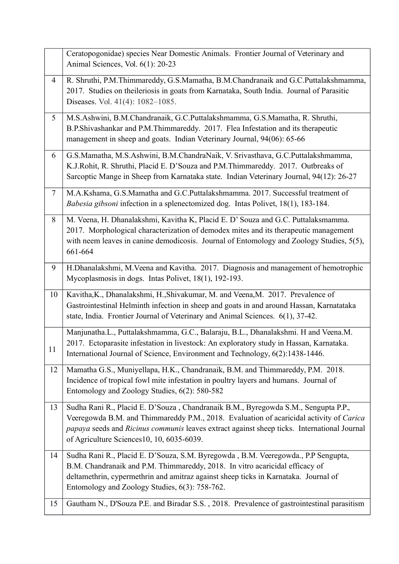|                | Ceratopogonidae) species Near Domestic Animals. Frontier Journal of Veterinary and<br>Animal Sciences, Vol. 6(1): 20-23                                                                                                                                                                                                   |
|----------------|---------------------------------------------------------------------------------------------------------------------------------------------------------------------------------------------------------------------------------------------------------------------------------------------------------------------------|
| $\overline{4}$ | R. Shruthi, P.M.Thimmareddy, G.S.Mamatha, B.M.Chandranaik and G.C.Puttalakshmamma,<br>2017. Studies on theileriosis in goats from Karnataka, South India. Journal of Parasitic<br>Diseases. Vol. 41(4): 1082-1085.                                                                                                        |
| 5              | M.S.Ashwini, B.M.Chandranaik, G.C.Puttalakshmamma, G.S.Mamatha, R. Shruthi,<br>B.P.Shivashankar and P.M.Thimmareddy. 2017. Flea Infestation and its therapeutic<br>management in sheep and goats. Indian Veterinary Journal, 94(06): 65-66                                                                                |
| 6              | G.S.Mamatha, M.S.Ashwini, B.M.ChandraNaik, V. Srivasthava, G.C.Puttalakshmamma,<br>K.J.Rohit, R. Shruthi, Placid E. D'Souza and P.M.Thimmareddy. 2017. Outbreaks of<br>Sarcoptic Mange in Sheep from Karnataka state. Indian Veterinary Journal, 94(12): 26-27                                                            |
| $\tau$         | M.A.Kshama, G.S.Mamatha and G.C.Puttalakshmamma. 2017. Successful treatment of<br>Babesia gibsoni infection in a splenectomized dog. Intas Polivet, 18(1), 183-184.                                                                                                                                                       |
| 8              | M. Veena, H. Dhanalakshmi, Kavitha K, Placid E. D' Souza and G.C. Puttalaksmamma.<br>2017. Morphological characterization of demodex mites and its therapeutic management<br>with neem leaves in canine demodicosis. Journal of Entomology and Zoology Studies, 5(5),<br>661-664                                          |
| 9              | H.Dhanalakshmi, M.Veena and Kavitha. 2017. Diagnosis and management of hemotrophic<br>Mycoplasmosis in dogs. Intas Polivet, 18(1), 192-193.                                                                                                                                                                               |
| 10             | Kavitha, K., Dhanalakshmi, H., Shivakumar, M. and Veena, M. 2017. Prevalence of<br>Gastrointestinal Helminth infection in sheep and goats in and around Hassan, Karnatataka<br>state, India. Frontier Journal of Veterinary and Animal Sciences. 6(1), 37-42.                                                             |
| 11             | Manjunatha.L., Puttalakshmamma, G.C., Balaraju, B.L., Dhanalakshmi. H and Veena.M.<br>2017. Ectoparasite infestation in livestock: An exploratory study in Hassan, Karnataka.<br>International Journal of Science, Environment and Technology, 6(2):1438-1446.                                                            |
| 12             | Mamatha G.S., Muniyellapa, H.K., Chandranaik, B.M. and Thimmareddy, P.M. 2018.<br>Incidence of tropical fowl mite infestation in poultry layers and humans. Journal of<br>Entomology and Zoology Studies, 6(2): 580-582                                                                                                   |
| 13             | Sudha Rani R., Placid E. D'Souza, Chandranaik B.M., Byregowda S.M., Sengupta P.P.,<br>Veeregowda B.M. and Thimmareddy P.M., 2018. Evaluation of acaricidal activity of Carica<br>papaya seeds and Ricinus communis leaves extract against sheep ticks. International Journal<br>of Agriculture Sciences10, 10, 6035-6039. |
| 14             | Sudha Rani R., Placid E. D'Souza, S.M. Byregowda, B.M. Veeregowda., P.P Sengupta,<br>B.M. Chandranaik and P.M. Thimmareddy, 2018. In vitro acaricidal efficacy of<br>deltamethrin, cypermethrin and amitraz against sheep ticks in Karnataka. Journal of<br>Entomology and Zoology Studies, 6(3): 758-762.                |
| 15             | Gautham N., D'Souza P.E. and Biradar S.S., 2018. Prevalence of gastrointestinal parasitism                                                                                                                                                                                                                                |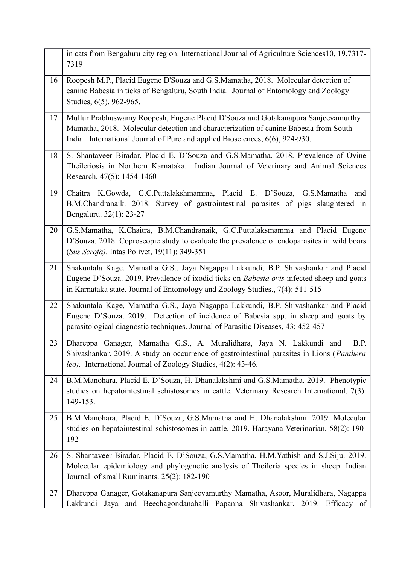|    | in cats from Bengaluru city region. International Journal of Agriculture Sciences10, 19,7317-<br>7319                                                                                                                                                            |
|----|------------------------------------------------------------------------------------------------------------------------------------------------------------------------------------------------------------------------------------------------------------------|
| 16 | Roopesh M.P., Placid Eugene D'Souza and G.S.Mamatha, 2018. Molecular detection of<br>canine Babesia in ticks of Bengaluru, South India. Journal of Entomology and Zoology<br>Studies, 6(5), 962-965.                                                             |
| 17 | Mullur Prabhuswamy Roopesh, Eugene Placid D'Souza and Gotakanapura Sanjeevamurthy<br>Mamatha, 2018. Molecular detection and characterization of canine Babesia from South<br>India. International Journal of Pure and applied Biosciences, 6(6), 924-930.        |
| 18 | S. Shantaveer Biradar, Placid E. D'Souza and G.S.Mamatha. 2018. Prevalence of Ovine<br>Theileriosis in Northern Karnataka. Indian Journal of Veterinary and Animal Sciences<br>Research, 47(5): 1454-1460                                                        |
| 19 | Chaitra K.Gowda, G.C.Puttalakshmamma, Placid E. D'Souza, G.S.Mamatha<br>and<br>B.M.Chandranaik. 2018. Survey of gastrointestinal parasites of pigs slaughtered in<br>Bengaluru. 32(1): 23-27                                                                     |
| 20 | G.S.Mamatha, K.Chaitra, B.M.Chandranaik, G.C.Puttalaksmamma and Placid Eugene<br>D'Souza. 2018. Coproscopic study to evaluate the prevalence of endoparasites in wild boars<br>(Sus Scrofa). Intas Polivet, 19(11): 349-351                                      |
| 21 | Shakuntala Kage, Mamatha G.S., Jaya Nagappa Lakkundi, B.P. Shivashankar and Placid<br>Eugene D'Souza. 2019. Prevalence of ixodid ticks on Babesia ovis infected sheep and goats<br>in Karnataka state. Journal of Entomology and Zoology Studies., 7(4): 511-515 |
| 22 | Shakuntala Kage, Mamatha G.S., Jaya Nagappa Lakkundi, B.P. Shivashankar and Placid<br>Eugene D'Souza. 2019. Detection of incidence of Babesia spp. in sheep and goats by<br>parasitological diagnostic techniques. Journal of Parasitic Diseases, 43: 452-457    |
| 23 | Dhareppa Ganager, Mamatha G.S., A. Muralidhara, Jaya N. Lakkundi and<br>B.P.<br>Shivashankar. 2019. A study on occurrence of gastrointestinal parasites in Lions (Panthera<br>leo), International Journal of Zoology Studies, 4(2): 43-46.                       |
| 24 | B.M.Manohara, Placid E. D'Souza, H. Dhanalakshmi and G.S.Mamatha. 2019. Phenotypic<br>studies on hepatointestinal schistosomes in cattle. Veterinary Research International. 7(3):<br>149-153.                                                                   |
| 25 | B.M.Manohara, Placid E. D'Souza, G.S.Mamatha and H. Dhanalakshmi. 2019. Molecular<br>studies on hepatointestinal schistosomes in cattle. 2019. Harayana Veterinarian, 58(2): 190-<br>192                                                                         |
| 26 | S. Shantaveer Biradar, Placid E. D'Souza, G.S.Mamatha, H.M.Yathish and S.J.Siju. 2019.<br>Molecular epidemiology and phylogenetic analysis of Theileria species in sheep. Indian<br>Journal of small Ruminants. 25(2): 182-190                                   |
| 27 | Dhareppa Ganager, Gotakanapura Sanjeevamurthy Mamatha, Asoor, Muralidhara, Nagappa<br>Lakkundi Jaya and Beechagondanahalli Papanna Shivashankar. 2019. Efficacy of                                                                                               |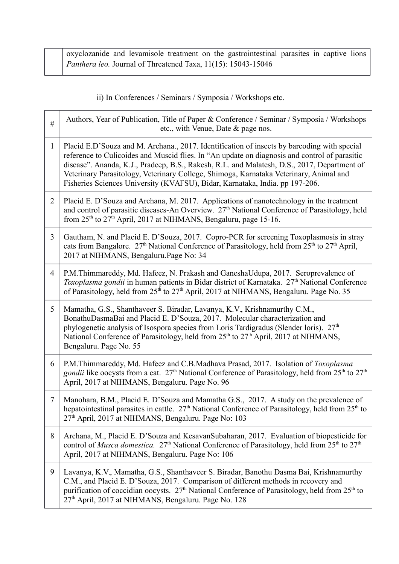oxyclozanide and levamisole treatment on the gastrointestinal parasites in captive lions *Panthera leo.* Journal of Threatened Taxa, 11(15): 15043-15046

#### ii) In Conferences / Seminars / Symposia / Workshops etc.

| $\#$           | Authors, Year of Publication, Title of Paper & Conference / Seminar / Symposia / Workshops<br>etc., with Venue, Date & page nos.                                                                                                                                                                                                                                                                                                                                      |
|----------------|-----------------------------------------------------------------------------------------------------------------------------------------------------------------------------------------------------------------------------------------------------------------------------------------------------------------------------------------------------------------------------------------------------------------------------------------------------------------------|
| $\mathbf{1}$   | Placid E.D'Souza and M. Archana., 2017. Identification of insects by barcoding with special<br>reference to Culicoides and Muscid flies. In "An update on diagnosis and control of parasitic<br>disease". Ananda, K.J., Pradeep, B.S., Rakesh, R.L. and Malatesh, D.S., 2017, Department of<br>Veterinary Parasitology, Veterinary College, Shimoga, Karnataka Veterinary, Animal and<br>Fisheries Sciences University (KVAFSU), Bidar, Karnataka, India. pp 197-206. |
| $\overline{2}$ | Placid E. D'Souza and Archana, M. 2017. Applications of nanotechnology in the treatment<br>and control of parasitic diseases-An Overview. 27 <sup>th</sup> National Conference of Parasitology, held<br>from 25 <sup>th</sup> to 27 <sup>th</sup> April, 2017 at NIHMANS, Bengaluru, page 15-16.                                                                                                                                                                      |
| $\overline{3}$ | Gautham, N. and Placid E. D'Souza, 2017. Copro-PCR for screening Toxoplasmosis in stray<br>cats from Bangalore. $27th$ National Conference of Parasitology, held from $25th$ to $27th$ April,<br>2017 at NIHMANS, Bengaluru.Page No: 34                                                                                                                                                                                                                               |
| $\overline{4}$ | P.M. Thimmareddy, Md. Hafeez, N. Prakash and GaneshaUdupa, 2017. Seroprevalence of<br>Toxoplasma gondii in human patients in Bidar district of Karnataka. 27 <sup>th</sup> National Conference<br>of Parasitology, held from 25 <sup>th</sup> to 27 <sup>th</sup> April, 2017 at NIHMANS, Bengaluru. Page No. 35                                                                                                                                                      |
| 5              | Mamatha, G.S., Shanthaveer S. Biradar, Lavanya, K.V., Krishnamurthy C.M.,<br>BonathuDasmaBai and Placid E. D'Souza, 2017. Molecular characterization and<br>phylogenetic analysis of Isospora species from Loris Tardigradus (Slender loris). $27th$<br>National Conference of Parasitology, held from 25 <sup>th</sup> to 27 <sup>th</sup> April, 2017 at NIHMANS,<br>Bengaluru. Page No. 55                                                                         |
| 6              | P.M. Thimmareddy, Md. Hafeez and C.B. Madhava Prasad, 2017. Isolation of Toxoplasma<br><i>gondii</i> like oocysts from a cat. $27th$ National Conference of Parasitology, held from $25th$ to $27th$<br>April, 2017 at NIHMANS, Bengaluru. Page No. 96                                                                                                                                                                                                                |
| $\tau$         | Manohara, B.M., Placid E. D'Souza and Mamatha G.S., 2017. A study on the prevalence of<br>hepatointestinal parasites in cattle. 27 <sup>th</sup> National Conference of Parasitology, held from 25 <sup>th</sup> to<br>27 <sup>th</sup> April, 2017 at NIHMANS, Bengaluru. Page No: 103                                                                                                                                                                               |
| 8              | Archana, M., Placid E. D'Souza and KesavanSubaharan, 2017. Evaluation of biopesticide for<br>control of <i>Musca domestica</i> . $27th$ National Conference of Parasitology, held from $25th$ to $27th$<br>April, 2017 at NIHMANS, Bengaluru. Page No: 106                                                                                                                                                                                                            |
| 9              | Lavanya, K.V., Mamatha, G.S., Shanthaveer S. Biradar, Banothu Dasma Bai, Krishnamurthy<br>C.M., and Placid E. D'Souza, 2017. Comparison of different methods in recovery and<br>purification of coccidian oocysts. 27 <sup>th</sup> National Conference of Parasitology, held from 25 <sup>th</sup> to<br>27 <sup>th</sup> April, 2017 at NIHMANS, Bengaluru. Page No. 128                                                                                            |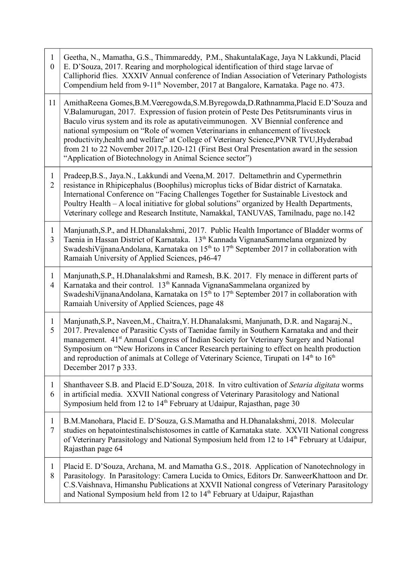| $\mathbf{1}$<br>$\boldsymbol{0}$ | Geetha, N., Mamatha, G.S., Thimmareddy, P.M., ShakuntalaKage, Jaya N Lakkundi, Placid<br>E. D'Souza, 2017. Rearing and morphological identification of third stage larvae of<br>Calliphorid flies. XXXIV Annual conference of Indian Association of Veterinary Pathologists<br>Compendium held from 9-11 <sup>th</sup> November, 2017 at Bangalore, Karnataka. Page no. 473.                                                                                                                                                                                                                                   |
|----------------------------------|----------------------------------------------------------------------------------------------------------------------------------------------------------------------------------------------------------------------------------------------------------------------------------------------------------------------------------------------------------------------------------------------------------------------------------------------------------------------------------------------------------------------------------------------------------------------------------------------------------------|
| 11                               | AmithaReena Gomes, B.M. Veeregowda, S.M. Byregowda, D. Rathnamma, Placid E.D'Souza and<br>V.Balamurugan, 2017. Expression of fusion protein of Peste Des Petitsruminants virus in<br>Baculo virus system and its role as aputative immunogen. XV Biennial conference and<br>national symposium on "Role of women Veterinarians in enhancement of livestock<br>productivity, health and welfare" at College of Veterinary Science, PVNR TVU, Hyderabad<br>from 21 to 22 November 2017, p.120-121 (First Best Oral Presentation award in the session<br>"Application of Biotechnology in Animal Science sector") |
| $\mathbf{1}$<br>$\overline{2}$   | Pradeep, B.S., Jaya.N., Lakkundi and Veena, M. 2017. Deltamethrin and Cypermethrin<br>resistance in Rhipicephalus (Boophilus) microplus ticks of Bidar district of Karnataka.<br>International Conference on "Facing Challenges Together for Sustainable Livestock and<br>Poultry Health – A local initiative for global solutions" organized by Health Departments,<br>Veterinary college and Research Institute, Namakkal, TANUVAS, Tamilnadu, page no.142                                                                                                                                                   |
| 1<br>3                           | Manjunath, S.P., and H.Dhanalakshmi, 2017. Public Health Importance of Bladder worms of<br>Taenia in Hassan District of Karnataka. 13 <sup>th</sup> Kannada VignanaSammelana organized by<br>SwadeshiVijnanaAndolana, Karnataka on $15th$ to $17th$ September 2017 in collaboration with<br>Ramaiah University of Applied Sciences, p46-47                                                                                                                                                                                                                                                                     |
| 1<br>$\overline{4}$              | Manjunath, S.P., H.Dhanalakshmi and Ramesh, B.K. 2017. Fly menace in different parts of<br>Karnataka and their control. 13 <sup>th</sup> Kannada VignanaSammelana organized by<br>SwadeshiVijnanaAndolana, Karnataka on 15 <sup>th</sup> to 17 <sup>th</sup> September 2017 in collaboration with<br>Ramaiah University of Applied Sciences, page 48                                                                                                                                                                                                                                                           |
| $\mathbf{1}$<br>5                | Manjunath, S.P., Naveen, M., Chaitra, Y. H.Dhanalaksmi, Manjunath, D.R. and Nagaraj.N.,<br>2017. Prevalence of Parasitic Cysts of Taenidae family in Southern Karnataka and and their<br>management. 41 <sup>st</sup> Annual Congress of Indian Society for Veterinary Surgery and National<br>Symposium on "New Horizons in Cancer Research pertaining to effect on health production<br>and reproduction of animals at College of Veterinary Science, Tirupati on 14 <sup>th</sup> to 16 <sup>th</sup><br>December 2017 p 333.                                                                               |
| 1<br>6                           | Shanthaveer S.B. and Placid E.D'Souza, 2018. In vitro cultivation of Setaria digitata worms<br>in artificial media. XXVII National congress of Veterinary Parasitology and National<br>Symposium held from 12 to 14 <sup>th</sup> February at Udaipur, Rajasthan, page 30                                                                                                                                                                                                                                                                                                                                      |
| $\mathbf{1}$<br>7                | B.M.Manohara, Placid E. D'Souza, G.S.Mamatha and H.Dhanalakshmi, 2018. Molecular<br>studies on hepatointestinalschistosomes in cattle of Karnataka state. XXVII National congress<br>of Veterinary Parasitology and National Symposium held from 12 to 14 <sup>th</sup> February at Udaipur,<br>Rajasthan page 64                                                                                                                                                                                                                                                                                              |
| $\mathbf 1$<br>8                 | Placid E. D'Souza, Archana, M. and Mamatha G.S., 2018. Application of Nanotechnology in<br>Parasitology. In Parasitology: Camera Lucida to Omics, Editors Dr. SanweerKhattoon and Dr.<br>C.S. Vaishnava, Himanshu Publications at XXVII National congress of Veterinary Parasitology<br>and National Symposium held from 12 to 14 <sup>th</sup> February at Udaipur, Rajasthan                                                                                                                                                                                                                                 |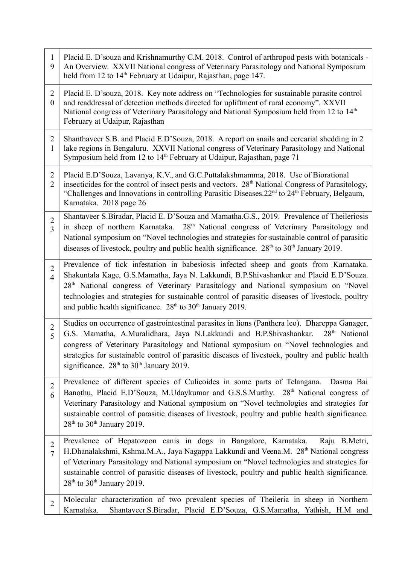| $\mathbf{1}$<br>9                  | Placid E. D'souza and Krishnamurthy C.M. 2018. Control of arthropod pests with botanicals -<br>An Overview. XXVII National congress of Veterinary Parasitology and National Symposium<br>held from 12 to 14 <sup>th</sup> February at Udaipur, Rajasthan, page 147.                                                                                                                                                                                                        |
|------------------------------------|----------------------------------------------------------------------------------------------------------------------------------------------------------------------------------------------------------------------------------------------------------------------------------------------------------------------------------------------------------------------------------------------------------------------------------------------------------------------------|
| $\overline{2}$<br>$\boldsymbol{0}$ | Placid E. D'souza, 2018. Key note address on "Technologies for sustainable parasite control<br>and readdressal of detection methods directed for upliftment of rural economy". XXVII<br>National congress of Veterinary Parasitology and National Symposium held from 12 to 14 <sup>th</sup><br>February at Udaipur, Rajasthan                                                                                                                                             |
| $\overline{2}$<br>$\mathbf{1}$     | Shanthaveer S.B. and Placid E.D'Souza, 2018. A report on snails and cercarial shedding in 2<br>lake regions in Bengaluru. XXVII National congress of Veterinary Parasitology and National<br>Symposium held from 12 to 14 <sup>th</sup> February at Udaipur, Rajasthan, page 71                                                                                                                                                                                            |
| $\overline{2}$<br>$\overline{2}$   | Placid E.D'Souza, Lavanya, K.V., and G.C.Puttalakshmamma, 2018. Use of Biorational<br>insecticides for the control of insect pests and vectors. 28 <sup>th</sup> National Congress of Parasitology,<br>"Challenges and Innovations in controlling Parasitic Diseases.22 <sup>nd</sup> to 24 <sup>th</sup> February, Belgaum,<br>Karnataka. 2018 page 26                                                                                                                    |
| $\overline{2}$<br>3                | Shantaveer S.Biradar, Placid E. D'Souza and Mamatha.G.S., 2019. Prevalence of Theileriosis<br>in sheep of northern Karnataka. 28 <sup>th</sup> National congress of Veterinary Parasitology and<br>National symposium on "Novel technologies and strategies for sustainable control of parasitic<br>diseases of livestock, poultry and public health significance. $28th$ to $30th$ January 2019.                                                                          |
| $\overline{2}$<br>$\overline{4}$   | Prevalence of tick infestation in babesiosis infected sheep and goats from Karnataka.<br>Shakuntala Kage, G.S.Mamatha, Jaya N. Lakkundi, B.P.Shivashanker and Placid E.D'Souza.<br>28 <sup>th</sup> National congress of Veterinary Parasitology and National symposium on "Novel<br>technologies and strategies for sustainable control of parasitic diseases of livestock, poultry<br>and public health significance. 28 <sup>th</sup> to 30 <sup>th</sup> January 2019. |
| $\overline{2}$<br>5                | Studies on occurrence of gastrointestinal parasites in lions (Panthera leo). Dhareppa Ganager,<br>28 <sup>th</sup> National<br>G.S. Mamatha, A.Muralidhara, Jaya N.Lakkundi and B.P.Shivashankar.<br>congress of Veterinary Parasitology and National symposium on "Novel technologies and<br>strategies for sustainable control of parasitic diseases of livestock, poultry and public health<br>significance. 28 <sup>th</sup> to 30 <sup>th</sup> January 2019.         |
| $\overline{2}$<br>6                | Prevalence of different species of Culicoides in some parts of Telangana.<br>Dasma Bai<br>Banothu, Placid E.D'Souza, M.Udaykumar and G.S.S.Murthy. 28 <sup>th</sup> National congress of<br>Veterinary Parasitology and National symposium on "Novel technologies and strategies for<br>sustainable control of parasitic diseases of livestock, poultry and public health significance.<br>$28^{\text{th}}$ to $30^{\text{th}}$ January 2019.                              |
| $\overline{2}$<br>$\overline{7}$   | Prevalence of Hepatozoon canis in dogs in Bangalore, Karnataka.<br>Raju B.Metri,<br>H.Dhanalakshmi, Kshma.M.A., Jaya Nagappa Lakkundi and Veena.M. 28 <sup>th</sup> National congress<br>of Veterinary Parasitology and National symposium on "Novel technologies and strategies for<br>sustainable control of parasitic diseases of livestock, poultry and public health significance.<br>$28th$ to 30 <sup>th</sup> January 2019.                                        |
| $\overline{2}$                     | Molecular characterization of two prevalent species of Theileria in sheep in Northern<br>Shantaveer.S.Biradar, Placid E.D'Souza, G.S.Mamatha, Yathish, H.M and<br>Karnataka.                                                                                                                                                                                                                                                                                               |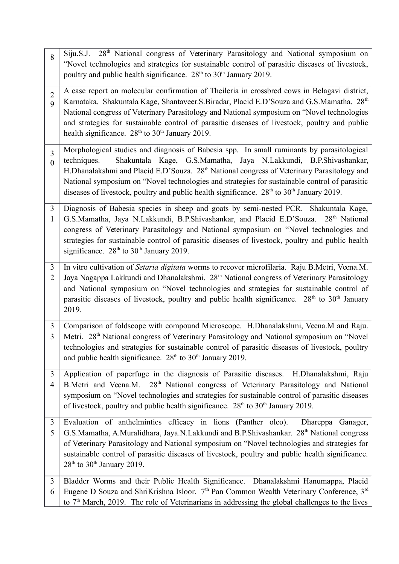| 8                                | Siju.S.J. 28 <sup>th</sup> National congress of Veterinary Parasitology and National symposium on<br>"Novel technologies and strategies for sustainable control of parasitic diseases of livestock,<br>poultry and public health significance. 28 <sup>th</sup> to 30 <sup>th</sup> January 2019.                                                                                                                                                                                                            |
|----------------------------------|--------------------------------------------------------------------------------------------------------------------------------------------------------------------------------------------------------------------------------------------------------------------------------------------------------------------------------------------------------------------------------------------------------------------------------------------------------------------------------------------------------------|
| $\overline{2}$<br>9              | A case report on molecular confirmation of Theileria in crossbred cows in Belagavi district,<br>Karnataka. Shakuntala Kage, Shantaveer.S.Biradar, Placid E.D'Souza and G.S.Mamatha. 28 <sup>th</sup><br>National congress of Veterinary Parasitology and National symposium on "Novel technologies<br>and strategies for sustainable control of parasitic diseases of livestock, poultry and public<br>health significance. 28 <sup>th</sup> to 30 <sup>th</sup> January 2019.                               |
| $\overline{3}$<br>$\overline{0}$ | Morphological studies and diagnosis of Babesia spp. In small ruminants by parasitological<br>Shakuntala Kage, G.S.Mamatha, Jaya N.Lakkundi, B.P.Shivashankar,<br>techniques.<br>H.Dhanalakshmi and Placid E.D'Souza. 28 <sup>th</sup> National congress of Veterinary Parasitology and<br>National symposium on "Novel technologies and strategies for sustainable control of parasitic<br>diseases of livestock, poultry and public health significance. 28 <sup>th</sup> to 30 <sup>th</sup> January 2019. |
| $\overline{3}$<br>$\mathbf{1}$   | Diagnosis of Babesia species in sheep and goats by semi-nested PCR. Shakuntala Kage,<br>G.S.Mamatha, Jaya N.Lakkundi, B.P.Shivashankar, and Placid E.D'Souza. 28 <sup>th</sup> National<br>congress of Veterinary Parasitology and National symposium on "Novel technologies and<br>strategies for sustainable control of parasitic diseases of livestock, poultry and public health<br>significance. $28th$ to $30th$ January 2019.                                                                         |
| $\overline{3}$<br>$\overline{2}$ | In vitro cultivation of Setaria digitata worms to recover microfilaria. Raju B.Metri, Veena.M.<br>Jaya Nagappa Lakkundi and Dhanalakshmi. 28 <sup>th</sup> National congress of Veterinary Parasitology<br>and National symposium on "Novel technologies and strategies for sustainable control of<br>parasitic diseases of livestock, poultry and public health significance. $28th$ to $30th$ January<br>2019.                                                                                             |
| $\mathfrak{Z}$<br>$\overline{3}$ | Comparison of foldscope with compound Microscope. H.Dhanalakshmi, Veena.M and Raju.<br>Metri. 28 <sup>th</sup> National congress of Veterinary Parasitology and National symposium on "Novel<br>technologies and strategies for sustainable control of parasitic diseases of livestock, poultry<br>and public health significance. 28 <sup>th</sup> to 30 <sup>th</sup> January 2019.                                                                                                                        |
| $\overline{3}$<br>$\overline{4}$ | Application of paperfuge in the diagnosis of Parasitic diseases. H.Dhanalakshmi, Raju<br>B.Metri and Veena.M. 28 <sup>th</sup> National congress of Veterinary Parasitology and National<br>symposium on "Novel technologies and strategies for sustainable control of parasitic diseases<br>of livestock, poultry and public health significance. 28 <sup>th</sup> to 30 <sup>th</sup> January 2019.                                                                                                        |
| 3<br>5                           | Evaluation of anthelminities efficacy in lions (Panther oleo).<br>Dhareppa Ganager,<br>G.S.Mamatha, A.Muralidhara, Jaya.N.Lakkundi and B.P.Shivashankar. 28 <sup>th</sup> National congress<br>of Veterinary Parasitology and National symposium on "Novel technologies and strategies for<br>sustainable control of parasitic diseases of livestock, poultry and public health significance.<br>$28th$ to 30 <sup>th</sup> January 2019.                                                                    |
| 3<br>6                           | Bladder Worms and their Public Health Significance. Dhanalakshmi Hanumappa, Placid<br>Eugene D Souza and ShriKrishna Isloor. 7 <sup>th</sup> Pan Common Wealth Veterinary Conference, 3 <sup>rd</sup><br>to $7th$ March, 2019. The role of Veterinarians in addressing the global challenges to the lives                                                                                                                                                                                                    |